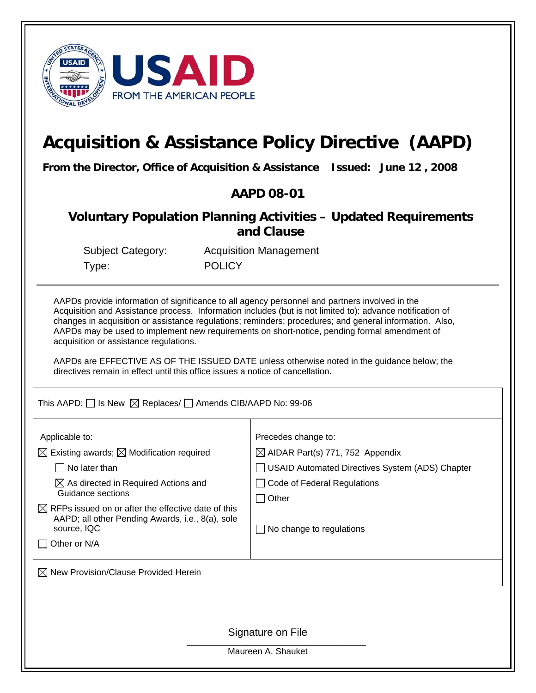

# **Acquisition & Assistance Policy Directive (AAPD)**

**From the Director, Office of Acquisition & Assistance Issued: June 12 , 2008** 

# **AAPD 08-01**

# **Voluntary Population Planning Activities – Updated Requirements and Clause**

Type: POLICY

Subject Category: Acquisition Management

AAPDs provide information of significance to all agency personnel and partners involved in the Acquisition and Assistance process. Information includes (but is not limited to): advance notification of changes in acquisition or assistance regulations; reminders; procedures; and general information. Also, AAPDs may be used to implement new requirements on short-notice, pending formal amendment of acquisition or assistance regulations.

AAPDs are EFFECTIVE AS OF THE ISSUED DATE unless otherwise noted in the guidance below; the directives remain in effect until this office issues a notice of cancellation.

This AAPD:  $\Box$  Is New  $\boxtimes$  Replaces/  $\Box$  Amends CIB/AAPD No: 99-06

| Applicable to:                                                                                                                    | Precedes change to:                                    |
|-----------------------------------------------------------------------------------------------------------------------------------|--------------------------------------------------------|
| $\boxtimes$ Existing awards; $\boxtimes$ Modification required                                                                    | $\boxtimes$ AIDAR Part(s) 771, 752 Appendix            |
| No later than                                                                                                                     | <b>USAID Automated Directives System (ADS) Chapter</b> |
| $\boxtimes$ As directed in Required Actions and                                                                                   | Code of Federal Regulations                            |
| Guidance sections                                                                                                                 | Other                                                  |
| $\boxtimes$ RFPs issued on or after the effective date of this<br>AAPD; all other Pending Awards, i.e., 8(a), sole<br>source, IQC | No change to regulations                               |
| Other or N/A                                                                                                                      |                                                        |
| $\boxtimes$ New Provision/Clause Provided Herein                                                                                  |                                                        |
| Signature on File                                                                                                                 |                                                        |
| Maureen A. Shauket                                                                                                                |                                                        |
|                                                                                                                                   |                                                        |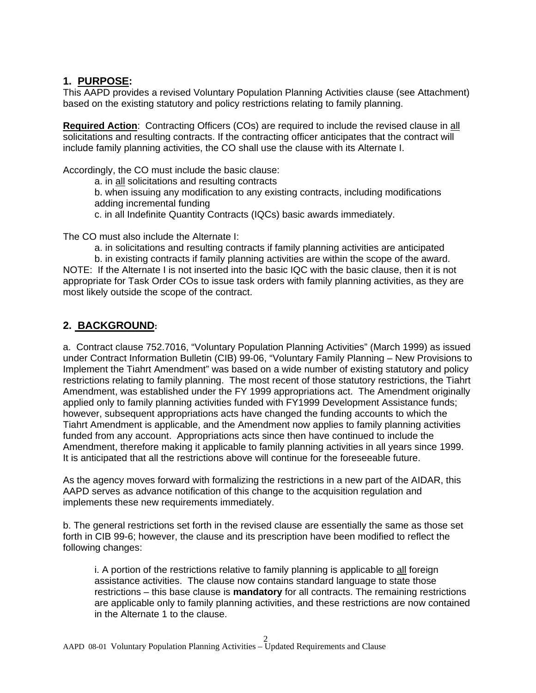### **1. PURPOSE:**

This AAPD provides a revised Voluntary Population Planning Activities clause (see Attachment) based on the existing statutory and policy restrictions relating to family planning.

**Required Action**: Contracting Officers (COs) are required to include the revised clause in all solicitations and resulting contracts. If the contracting officer anticipates that the contract will include family planning activities, the CO shall use the clause with its Alternate I.

Accordingly, the CO must include the basic clause:

a. in all solicitations and resulting contracts

b. when issuing any modification to any existing contracts, including modifications adding incremental funding

c. in all Indefinite Quantity Contracts (IQCs) basic awards immediately.

The CO must also include the Alternate I:

a. in solicitations and resulting contracts if family planning activities are anticipated

b. in existing contracts if family planning activities are within the scope of the award. NOTE: If the Alternate I is not inserted into the basic IQC with the basic clause, then it is not appropriate for Task Order COs to issue task orders with family planning activities, as they are most likely outside the scope of the contract.

### **2. BACKGROUND:**

a. Contract clause 752.7016, "Voluntary Population Planning Activities" (March 1999) as issued under Contract Information Bulletin (CIB) 99-06, "Voluntary Family Planning – New Provisions to Implement the Tiahrt Amendment" was based on a wide number of existing statutory and policy restrictions relating to family planning. The most recent of those statutory restrictions, the Tiahrt Amendment, was established under the FY 1999 appropriations act. The Amendment originally applied only to family planning activities funded with FY1999 Development Assistance funds; however, subsequent appropriations acts have changed the funding accounts to which the Tiahrt Amendment is applicable, and the Amendment now applies to family planning activities funded from any account. Appropriations acts since then have continued to include the Amendment, therefore making it applicable to family planning activities in all years since 1999. It is anticipated that all the restrictions above will continue for the foreseeable future.

As the agency moves forward with formalizing the restrictions in a new part of the AIDAR, this AAPD serves as advance notification of this change to the acquisition regulation and implements these new requirements immediately.

b. The general restrictions set forth in the revised clause are essentially the same as those set forth in CIB 99-6; however, the clause and its prescription have been modified to reflect the following changes:

i. A portion of the restrictions relative to family planning is applicable to all foreign assistance activities. The clause now contains standard language to state those restrictions – this base clause is **mandatory** for all contracts. The remaining restrictions are applicable only to family planning activities, and these restrictions are now contained in the Alternate 1 to the clause.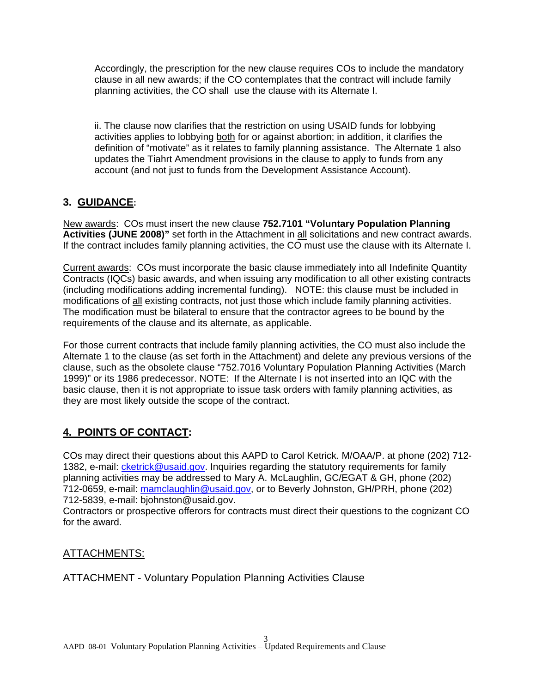Accordingly, the prescription for the new clause requires COs to include the mandatory clause in all new awards; if the CO contemplates that the contract will include family planning activities, the CO shall use the clause with its Alternate I.

ii. The clause now clarifies that the restriction on using USAID funds for lobbying activities applies to lobbying both for or against abortion; in addition, it clarifies the definition of "motivate" as it relates to family planning assistance. The Alternate 1 also updates the Tiahrt Amendment provisions in the clause to apply to funds from any account (and not just to funds from the Development Assistance Account).

## **3. GUIDANCE:**

New awards: COs must insert the new clause **752.7101 "Voluntary Population Planning Activities (JUNE 2008)"** set forth in the Attachment in all solicitations and new contract awards. If the contract includes family planning activities, the CO must use the clause with its Alternate I.

Current awards: COs must incorporate the basic clause immediately into all Indefinite Quantity Contracts (IQCs) basic awards, and when issuing any modification to all other existing contracts (including modifications adding incremental funding). NOTE: this clause must be included in modifications of all existing contracts, not just those which include family planning activities. The modification must be bilateral to ensure that the contractor agrees to be bound by the requirements of the clause and its alternate, as applicable.

For those current contracts that include family planning activities, the CO must also include the Alternate 1 to the clause (as set forth in the Attachment) and delete any previous versions of the clause, such as the obsolete clause "752.7016 Voluntary Population Planning Activities (March 1999)" or its 1986 predecessor. NOTE: If the Alternate I is not inserted into an IQC with the basic clause, then it is not appropriate to issue task orders with family planning activities, as they are most likely outside the scope of the contract.

# **4. POINTS OF CONTACT:**

COs may direct their questions about this AAPD to Carol Ketrick. M/OAA/P. at phone (202) 712- 1382, e-mail: cketrick@usaid.gov. Inquiries regarding the statutory requirements for family planning activities may be addressed to Mary A. McLaughlin, GC/EGAT & GH, phone (202) 712-0659, e-mail: mamclaughlin@usaid.gov, or to Beverly Johnston, GH/PRH, phone (202) 712-5839, e-mail: bjohnston@usaid.gov.

Contractors or prospective offerors for contracts must direct their questions to the cognizant CO for the award.

## ATTACHMENTS:

ATTACHMENT - Voluntary Population Planning Activities Clause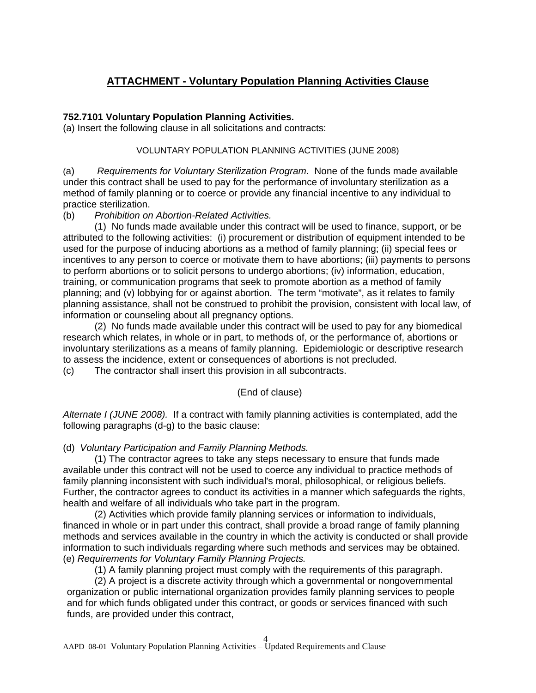# **ATTACHMENT - Voluntary Population Planning Activities Clause**

#### **752.7101 Voluntary Population Planning Activities.**

(a) Insert the following clause in all solicitations and contracts:

#### VOLUNTARY POPULATION PLANNING ACTIVITIES (JUNE 2008)

(a) *Requirements for Voluntary Sterilization Program.* None of the funds made available under this contract shall be used to pay for the performance of involuntary sterilization as a method of family planning or to coerce or provide any financial incentive to any individual to practice sterilization.

(b) *Prohibition on Abortion-Related Activities.* 

 (1) No funds made available under this contract will be used to finance, support, or be attributed to the following activities: (i) procurement or distribution of equipment intended to be used for the purpose of inducing abortions as a method of family planning; (ii) special fees or incentives to any person to coerce or motivate them to have abortions; (iii) payments to persons to perform abortions or to solicit persons to undergo abortions; (iv) information, education, training, or communication programs that seek to promote abortion as a method of family planning; and (v) lobbying for or against abortion. The term "motivate", as it relates to family planning assistance, shall not be construed to prohibit the provision, consistent with local law, of information or counseling about all pregnancy options.

(2) No funds made available under this contract will be used to pay for any biomedical research which relates, in whole or in part, to methods of, or the performance of, abortions or involuntary sterilizations as a means of family planning. Epidemiologic or descriptive research to assess the incidence, extent or consequences of abortions is not precluded.

(c) The contractor shall insert this provision in all subcontracts.

(End of clause)

*Alternate I (JUNE 2008).* If a contract with family planning activities is contemplated, add the following paragraphs (d-g) to the basic clause:

#### (d) *Voluntary Participation and Family Planning Methods.*

 (1) The contractor agrees to take any steps necessary to ensure that funds made available under this contract will not be used to coerce any individual to practice methods of family planning inconsistent with such individual's moral, philosophical, or religious beliefs. Further, the contractor agrees to conduct its activities in a manner which safeguards the rights, health and welfare of all individuals who take part in the program.

 (2) Activities which provide family planning services or information to individuals, financed in whole or in part under this contract, shall provide a broad range of family planning methods and services available in the country in which the activity is conducted or shall provide information to such individuals regarding where such methods and services may be obtained. (e) *Requirements for Voluntary Family Planning Projects.*

(1) A family planning project must comply with the requirements of this paragraph.

 (2) A project is a discrete activity through which a governmental or nongovernmental organization or public international organization provides family planning services to people and for which funds obligated under this contract, or goods or services financed with such funds, are provided under this contract,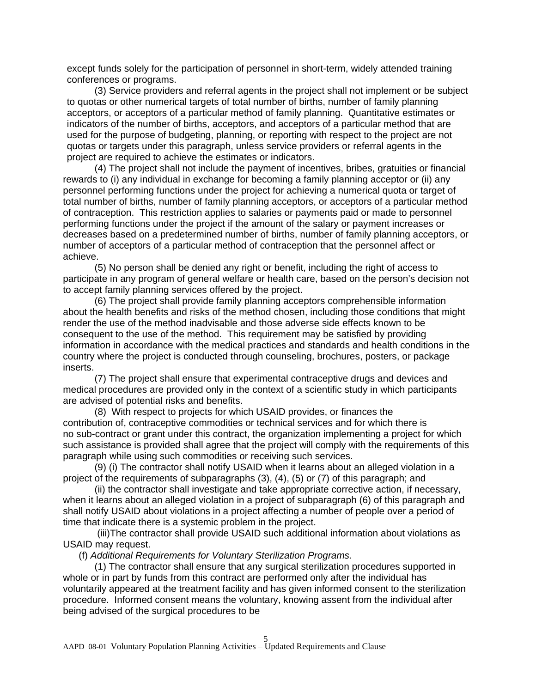except funds solely for the participation of personnel in short-term, widely attended training conferences or programs.

 (3) Service providers and referral agents in the project shall not implement or be subject to quotas or other numerical targets of total number of births, number of family planning acceptors, or acceptors of a particular method of family planning. Quantitative estimates or indicators of the number of births, acceptors, and acceptors of a particular method that are used for the purpose of budgeting, planning, or reporting with respect to the project are not quotas or targets under this paragraph, unless service providers or referral agents in the project are required to achieve the estimates or indicators.

 (4) The project shall not include the payment of incentives, bribes, gratuities or financial rewards to (i) any individual in exchange for becoming a family planning acceptor or (ii) any personnel performing functions under the project for achieving a numerical quota or target of total number of births, number of family planning acceptors, or acceptors of a particular method of contraception. This restriction applies to salaries or payments paid or made to personnel performing functions under the project if the amount of the salary or payment increases or decreases based on a predetermined number of births, number of family planning acceptors, or number of acceptors of a particular method of contraception that the personnel affect or achieve.

 (5) No person shall be denied any right or benefit, including the right of access to participate in any program of general welfare or health care, based on the person's decision not to accept family planning services offered by the project.

 (6) The project shall provide family planning acceptors comprehensible information about the health benefits and risks of the method chosen, including those conditions that might render the use of the method inadvisable and those adverse side effects known to be consequent to the use of the method. This requirement may be satisfied by providing information in accordance with the medical practices and standards and health conditions in the country where the project is conducted through counseling, brochures, posters, or package inserts.

 (7) The project shall ensure that experimental contraceptive drugs and devices and medical procedures are provided only in the context of a scientific study in which participants are advised of potential risks and benefits.

 (8) With respect to projects for which USAID provides, or finances the contribution of, contraceptive commodities or technical services and for which there is no sub-contract or grant under this contract, the organization implementing a project for which such assistance is provided shall agree that the project will comply with the requirements of this paragraph while using such commodities or receiving such services.

 (9) (i) The contractor shall notify USAID when it learns about an alleged violation in a project of the requirements of subparagraphs (3), (4), (5) or (7) of this paragraph; and

 (ii) the contractor shall investigate and take appropriate corrective action, if necessary, when it learns about an alleged violation in a project of subparagraph (6) of this paragraph and shall notify USAID about violations in a project affecting a number of people over a period of time that indicate there is a systemic problem in the project.

 (iii)The contractor shall provide USAID such additional information about violations as USAID may request.

(f) *Additional Requirements for Voluntary Sterilization Programs.*

 (1) The contractor shall ensure that any surgical sterilization procedures supported in whole or in part by funds from this contract are performed only after the individual has voluntarily appeared at the treatment facility and has given informed consent to the sterilization procedure. Informed consent means the voluntary, knowing assent from the individual after being advised of the surgical procedures to be